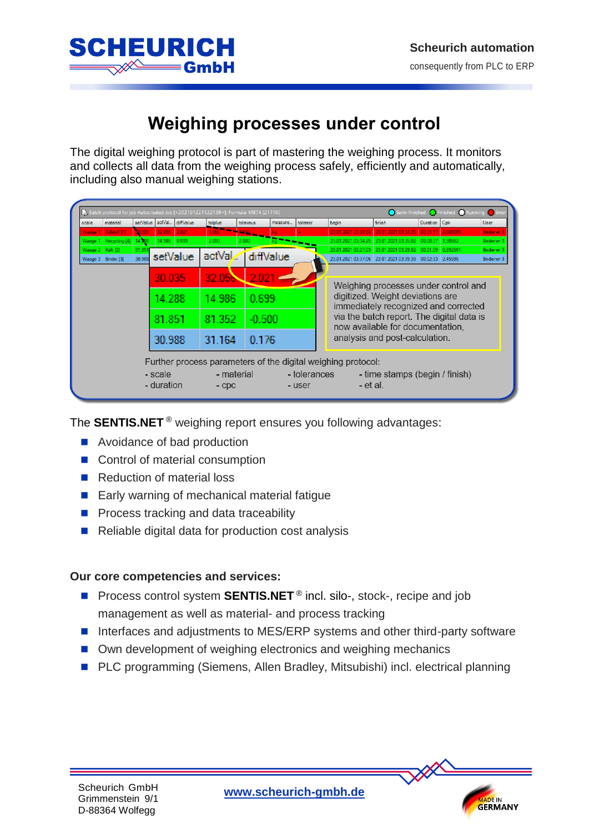**MADE IN**<br>**GERMANY** 



## **Weighing processes under control**

The digital weighing protocol is part of mastering the weighing process. It monitors and collects all data from the weighing process safely, efficiently and automatically, including also manual weighing stations.

| scale | material                         | setValue |          | actVal. diffValue | tolplus          | tolminus  | measure | tolerror                                                                 | begin                                                        | finish                                                    | Duration Cpk |  | User                  |  |
|-------|----------------------------------|----------|----------|-------------------|------------------|-----------|---------|--------------------------------------------------------------------------|--------------------------------------------------------------|-----------------------------------------------------------|--------------|--|-----------------------|--|
|       | Waage 1 Fullstoff [1]            | 30.035   | 32.056   | 2.021             |                  |           |         |                                                                          |                                                              | 23.01.2021 03:33:08 23.01.2021 03:34:25 00:01:17 0.609565 |              |  | Bediener              |  |
|       | Waage 1   Recycling [4]   14.388 |          | 14.986   | 0.699             | 2.000            |           |         |                                                                          | 23.01.2021 03:34:25                                          | 23.01.2021 03:35:02 00:00:37 1.98662                      |              |  | Bediener <sup>3</sup> |  |
|       | Waage 2   Kalk [2]               | 81.851   |          |                   | actVal diffValue |           |         |                                                                          |                                                              | 23.01.2021 03:27:03 23.01.2021 03:29:02 00:01:59 0.692561 |              |  | Bediener <sup>3</sup> |  |
|       | Waage 3 Binder [3]               | 30.988   | setValue |                   |                  |           |         |                                                                          |                                                              | 23.01.2021 03:37:06 23.01.2021 03:39:39 00:02:33 2.45986  |              |  | Bediener 3            |  |
|       |                                  |          |          |                   |                  |           |         |                                                                          |                                                              |                                                           |              |  |                       |  |
|       |                                  |          | 30.035   |                   | 32.05 <b>N</b>   | $2.021 -$ |         |                                                                          |                                                              |                                                           |              |  |                       |  |
|       |                                  |          |          |                   |                  |           |         | Weighing processes under control and<br>digitized. Weight deviations are |                                                              |                                                           |              |  |                       |  |
|       |                                  |          | 14.288   |                   | 14.986           | 0.699     |         |                                                                          |                                                              |                                                           |              |  |                       |  |
|       |                                  |          | 81.851   |                   |                  |           |         |                                                                          | immediately recognized and corrected                         |                                                           |              |  |                       |  |
|       |                                  |          |          |                   | 81.352           | $-0.500$  |         |                                                                          | via the batch report. The digital data is                    |                                                           |              |  |                       |  |
|       |                                  |          |          |                   |                  |           |         |                                                                          | now available for documentation.                             |                                                           |              |  |                       |  |
|       |                                  |          | 30.988   |                   | 31.164           | 0.176     |         |                                                                          |                                                              | analysis and post-calculation.                            |              |  |                       |  |
|       |                                  |          |          |                   |                  |           |         |                                                                          |                                                              |                                                           |              |  |                       |  |
|       |                                  |          |          |                   |                  |           |         |                                                                          |                                                              |                                                           |              |  |                       |  |
|       |                                  |          |          |                   |                  |           |         |                                                                          | Further process parameters of the digital weighing protocol: |                                                           |              |  |                       |  |
|       |                                  |          | - scale  |                   | - material       |           |         | - tolerances                                                             |                                                              | - time stamps (begin / finish)                            |              |  |                       |  |
|       |                                  |          |          |                   |                  |           |         |                                                                          |                                                              |                                                           |              |  |                       |  |

The **SENTIS.NET** ® weighing report ensures you following advantages:

- Avoidance of bad production
- Control of material consumption
- Reduction of material loss
- Early warning of mechanical material fatigue
- **Process tracking and data traceability**
- Reliable digital data for production cost analysis

## **Our core competencies and services:**

- Process control system **SENTIS.NET**<sup>®</sup> incl. silo-, stock-, recipe and job management as well as material- and process tracking
- Interfaces and adjustments to MES/ERP systems and other third-party software
- Own development of weighing electronics and weighing mechanics
- PLC programming (Siemens, Allen Bradley, Mitsubishi) incl. electrical planning

**Scheurich GmbH**<br>Children Guide Guide Computer Computer Scheurich-ambh.de